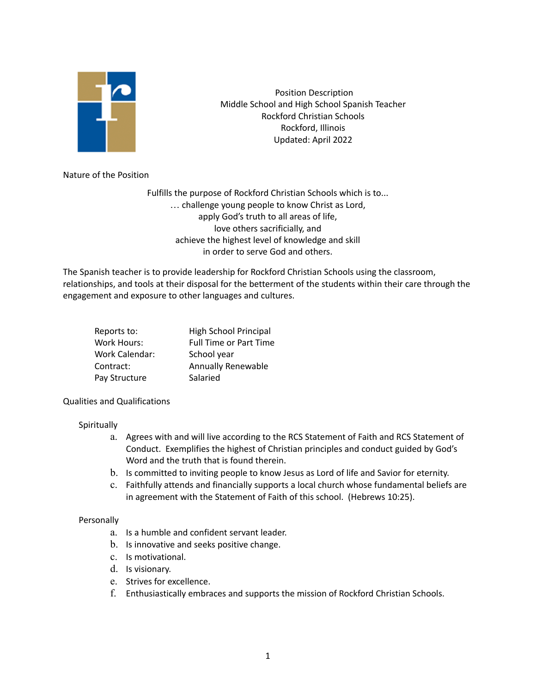

Position Description Middle School and High School Spanish Teacher Rockford Christian Schools Rockford, Illinois Updated: April 2022

Nature of the Position

Fulfills the purpose of Rockford Christian Schools which is to... … challenge young people to know Christ as Lord, apply God's truth to all areas of life, love others sacrificially, and achieve the highest level of knowledge and skill in order to serve God and others.

The Spanish teacher is to provide leadership for Rockford Christian Schools using the classroom, relationships, and tools at their disposal for the betterment of the students within their care through the engagement and exposure to other languages and cultures.

| Reports to:    | High School Principal         |
|----------------|-------------------------------|
| Work Hours:    | <b>Full Time or Part Time</b> |
| Work Calendar: | School year                   |
| Contract:      | <b>Annually Renewable</b>     |
| Pay Structure  | Salaried                      |

## Qualities and Qualifications

## **Spiritually**

- a. Agrees with and will live according to the RCS Statement of Faith and RCS Statement of Conduct. Exemplifies the highest of Christian principles and conduct guided by God's Word and the truth that is found therein.
- b. Is committed to inviting people to know Jesus as Lord of life and Savior for eternity.
- c. Faithfully attends and financially supports a local church whose fundamental beliefs are in agreement with the Statement of Faith of this school. (Hebrews 10:25).

## **Personally**

- a. Is a humble and confident servant leader.
- b. Is innovative and seeks positive change.
- c. Is motivational.
- d. Is visionary.
- e. Strives for excellence.
- f. Enthusiastically embraces and supports the mission of Rockford Christian Schools.